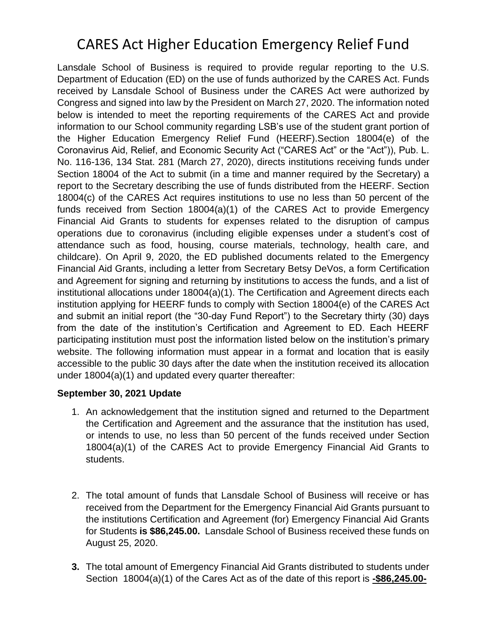# CARES Act Higher Education Emergency Relief Fund

Lansdale School of Business is required to provide regular reporting to the U.S. Department of Education (ED) on the use of funds authorized by the CARES Act. Funds received by Lansdale School of Business under the CARES Act were authorized by Congress and signed into law by the President on March 27, 2020. The information noted below is intended to meet the reporting requirements of the CARES Act and provide information to our School community regarding LSB's use of the student grant portion of the Higher Education Emergency Relief Fund (HEERF).Section 18004(e) of the Coronavirus Aid, Relief, and Economic Security Act ("CARES Act" or the "Act")), Pub. L. No. 116-136, 134 Stat. 281 (March 27, 2020), directs institutions receiving funds under Section 18004 of the Act to submit (in a time and manner required by the Secretary) a report to the Secretary describing the use of funds distributed from the HEERF. Section 18004(c) of the CARES Act requires institutions to use no less than 50 percent of the funds received from Section 18004(a)(1) of the CARES Act to provide Emergency Financial Aid Grants to students for expenses related to the disruption of campus operations due to coronavirus (including eligible expenses under a student's cost of attendance such as food, housing, course materials, technology, health care, and childcare). On April 9, 2020, the ED published documents related to the Emergency Financial Aid Grants, including a letter from Secretary Betsy DeVos, a form Certification and Agreement for signing and returning by institutions to access the funds, and a list of institutional allocations under 18004(a)(1). The Certification and Agreement directs each institution applying for HEERF funds to comply with Section 18004(e) of the CARES Act and submit an initial report (the "30-day Fund Report") to the Secretary thirty (30) days from the date of the institution's Certification and Agreement to ED. Each HEERF participating institution must post the information listed below on the institution's primary website. The following information must appear in a format and location that is easily accessible to the public 30 days after the date when the institution received its allocation under 18004(a)(1) and updated every quarter thereafter:

#### **September 30, 2021 Update**

- 1. An acknowledgement that the institution signed and returned to the Department the Certification and Agreement and the assurance that the institution has used, or intends to use, no less than 50 percent of the funds received under Section 18004(a)(1) of the CARES Act to provide Emergency Financial Aid Grants to students.
- 2. The total amount of funds that Lansdale School of Business will receive or has received from the Department for the Emergency Financial Aid Grants pursuant to the institutions Certification and Agreement (for) Emergency Financial Aid Grants for Students **is \$86,245.00.** Lansdale School of Business received these funds on August 25, 2020.
- **3.** The total amount of Emergency Financial Aid Grants distributed to students under Section 18004(a)(1) of the Cares Act as of the date of this report is **-\$86,245.00-**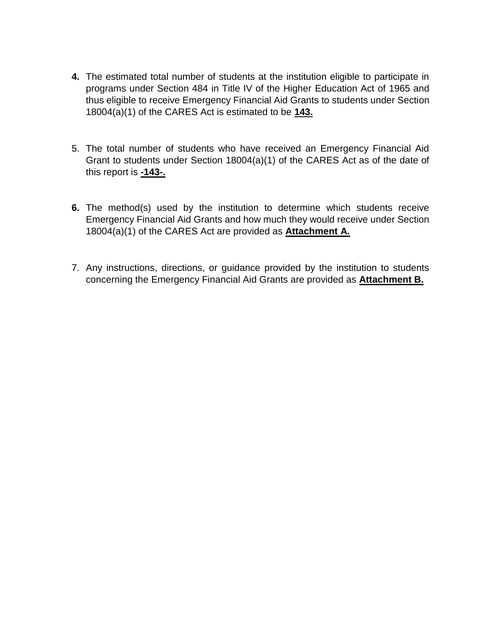- **4.** The estimated total number of students at the institution eligible to participate in programs under Section 484 in Title IV of the Higher Education Act of 1965 and thus eligible to receive Emergency Financial Aid Grants to students under Section 18004(a)(1) of the CARES Act is estimated to be **143.**
- 5. The total number of students who have received an Emergency Financial Aid Grant to students under Section 18004(a)(1) of the CARES Act as of the date of this report is **-143-.**
- **6.** The method(s) used by the institution to determine which students receive Emergency Financial Aid Grants and how much they would receive under Section 18004(a)(1) of the CARES Act are provided as **Attachment A.**
- 7. Any instructions, directions, or guidance provided by the institution to students concerning the Emergency Financial Aid Grants are provided as **Attachment B.**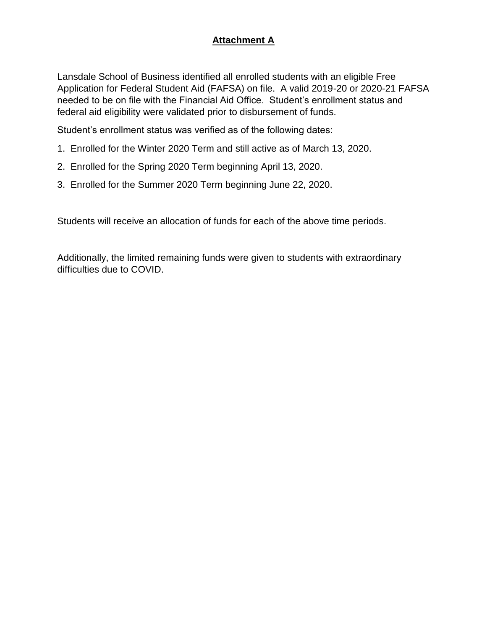#### **Attachment A**

Lansdale School of Business identified all enrolled students with an eligible Free Application for Federal Student Aid (FAFSA) on file. A valid 2019-20 or 2020-21 FAFSA needed to be on file with the Financial Aid Office. Student's enrollment status and federal aid eligibility were validated prior to disbursement of funds.

Student's enrollment status was verified as of the following dates:

- 1. Enrolled for the Winter 2020 Term and still active as of March 13, 2020.
- 2. Enrolled for the Spring 2020 Term beginning April 13, 2020.
- 3. Enrolled for the Summer 2020 Term beginning June 22, 2020.

Students will receive an allocation of funds for each of the above time periods.

Additionally, the limited remaining funds were given to students with extraordinary difficulties due to COVID.